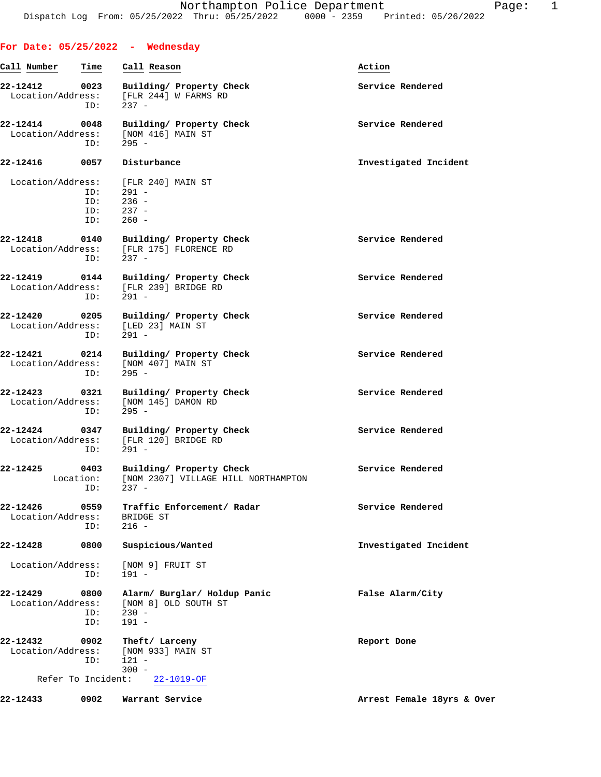|                                                     |                          | For Date: 05/25/2022 - Wednesday                                                     |                            |
|-----------------------------------------------------|--------------------------|--------------------------------------------------------------------------------------|----------------------------|
| Call Number                                         | Time                     | Call Reason                                                                          | Action                     |
| 22-12412 0023<br>Location/Address:                  | ID:                      | Building/ Property Check<br>[FLR 244] W FARMS RD<br>$237 -$                          | Service Rendered           |
| 22-12414 0048<br>Location/Address:                  | ID:                      | Building/ Property Check<br>[NOM 416] MAIN ST<br>$295 -$                             | Service Rendered           |
| 22-12416 0057                                       |                          | Disturbance                                                                          | Investigated Incident      |
| Location/Address:                                   | ID:<br>ID:<br>ID:<br>ID: | [FLR 240] MAIN ST<br>291 -<br>$236 -$<br>$237 -$<br>$260 -$                          |                            |
| Location/Address:                                   | ID:                      | 22-12418 0140 Building/ Property Check<br>[FLR 175] FLORENCE RD<br>$237 -$           | Service Rendered           |
| Location/Address:                                   | ID:                      | 22-12419 0144 Building/ Property Check<br>[FLR 239] BRIDGE RD<br>291 -               | Service Rendered           |
| 22-12420 0205<br>Location/Address:                  | ID:                      | Building/ Property Check<br>[LED 23] MAIN ST<br>$291 -$                              | Service Rendered           |
| Location/Address:                                   | ID:                      | 22-12421 0214 Building/ Property Check<br>[NOM 407] MAIN ST<br>$295 -$               | Service Rendered           |
| 22-12423 0321<br>Location/Address:                  | ID:                      | Building/ Property Check<br>[NOM 145] DAMON RD<br>$295 -$                            | Service Rendered           |
| Location/Address:                                   | ID:                      | 22-12424 0347 Building/Property Check<br>[FLR 120] BRIDGE RD<br>291 -                | Service Rendered           |
| 22-12425<br>0403                                    | ID:                      | Building/ Property Check<br>Location: [NOM 2307] VILLAGE HILL NORTHAMPTON<br>$237 -$ | Service Rendered           |
| 22-12426<br>Location/Address:                       | 0559<br>ID:              | Traffic Enforcement/ Radar<br>BRIDGE ST<br>$216 -$                                   | Service Rendered           |
| 22-12428                                            | 0800                     | Suspicious/Wanted                                                                    | Investigated Incident      |
| Location/Address:                                   | ID:                      | [NOM 9] FRUIT ST<br>$191 -$                                                          |                            |
| 22-12429<br>Location/Address:                       | 0800<br>ID:<br>ID:       | Alarm/ Burglar/ Holdup Panic<br>[NOM 8] OLD SOUTH ST<br>$230 -$<br>$191 -$           | False Alarm/City           |
| 22-12432<br>Location/Address:<br>Refer To Incident: | 0902<br>ID:              | Theft/ Larceny<br>[NOM 933] MAIN ST<br>$121 -$<br>$300 -$<br>$22 - 1019 - OF$        | Report Done                |
| 22-12433                                            | 0902                     | Warrant Service                                                                      | Arrest Female 18yrs & Over |
|                                                     |                          |                                                                                      |                            |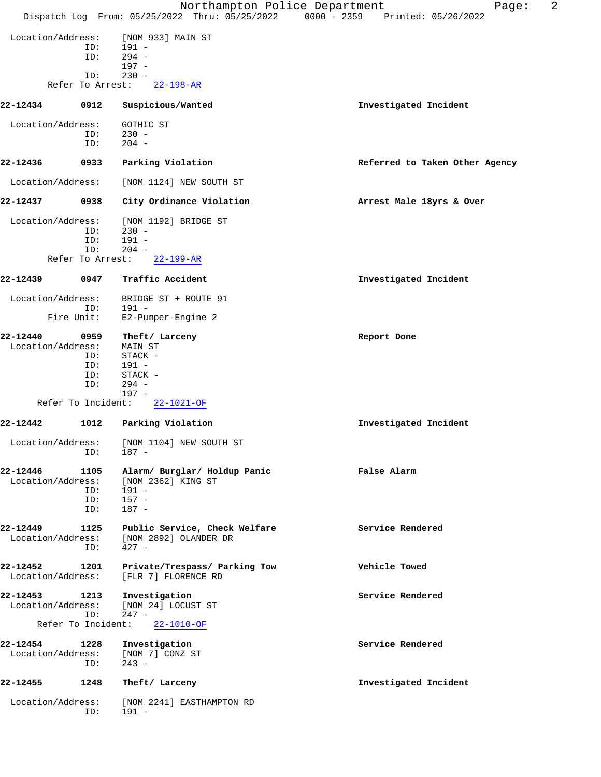|                               |                    | Northampton Police Department<br>Dispatch Log From: 05/25/2022 Thru: 05/25/2022 0000 - 2359 Printed: 05/26/2022 | 2<br>Page:                     |
|-------------------------------|--------------------|-----------------------------------------------------------------------------------------------------------------|--------------------------------|
|                               |                    |                                                                                                                 |                                |
| Location/Address:             |                    | [NOM 933] MAIN ST                                                                                               |                                |
|                               | ID:                | $191 -$                                                                                                         |                                |
|                               | ID:                | $294 -$<br>$197 -$                                                                                              |                                |
|                               | ID:                | $230 -$                                                                                                         |                                |
|                               | Refer To Arrest:   | $22 - 198 - AR$                                                                                                 |                                |
| 22-12434                      | 0912               | Suspicious/Wanted                                                                                               | Investigated Incident          |
|                               |                    |                                                                                                                 |                                |
| Location/Address:             |                    | GOTHIC ST                                                                                                       |                                |
|                               | ID:<br>ID:         | $230 -$<br>$204 -$                                                                                              |                                |
|                               |                    |                                                                                                                 |                                |
| 22-12436                      | 0933               | Parking Violation                                                                                               | Referred to Taken Other Agency |
| Location/Address:             |                    | [NOM 1124] NEW SOUTH ST                                                                                         |                                |
|                               |                    |                                                                                                                 |                                |
| 22-12437                      | 0938               | City Ordinance Violation                                                                                        | Arrest Male 18yrs & Over       |
| Location/Address:             |                    | [NOM 1192] BRIDGE ST                                                                                            |                                |
|                               | ID:                | $230 -$                                                                                                         |                                |
|                               | ID:<br>ID:         | $191 -$<br>$204 -$                                                                                              |                                |
|                               | Refer To Arrest:   | $22 - 199 - AR$                                                                                                 |                                |
|                               |                    |                                                                                                                 |                                |
| 22-12439                      | 0947               | Traffic Accident                                                                                                | Investigated Incident          |
| Location/Address:             |                    | BRIDGE ST + ROUTE 91                                                                                            |                                |
|                               | ID:                | 191 -                                                                                                           |                                |
|                               | Fire Unit:         | E2-Pumper-Engine 2                                                                                              |                                |
| 22-12440                      | 0959               | Theft/ Larceny                                                                                                  | Report Done                    |
| Location/Address:             |                    | <b>MAIN ST</b>                                                                                                  |                                |
|                               | ID:                | STACK -                                                                                                         |                                |
|                               | ID:                | $191 -$                                                                                                         |                                |
|                               | ID:                | STACK -                                                                                                         |                                |
|                               | ID:                | $294 -$<br>$197 -$                                                                                              |                                |
|                               | Refer To Incident: | $22 - 1021 - OF$                                                                                                |                                |
|                               |                    |                                                                                                                 |                                |
| 22-12442                      | 1012               | Parking Violation                                                                                               | Investigated Incident          |
| Location/Address:             |                    | [NOM 1104] NEW SOUTH ST                                                                                         |                                |
|                               | ID:                | 187 -                                                                                                           |                                |
| 22-12446                      | 1105               | Alarm/ Burglar/ Holdup Panic                                                                                    | False Alarm                    |
| Location/Address:             |                    | [NOM 2362] KING ST                                                                                              |                                |
|                               | ID:                | $191 -$                                                                                                         |                                |
|                               | ID:                | $157 -$                                                                                                         |                                |
|                               | ID:                | $187 -$                                                                                                         |                                |
|                               |                    |                                                                                                                 |                                |
| 22-12449                      | 1125               | Public Service, Check Welfare                                                                                   | Service Rendered               |
| Location/Address:             | ID:                | [NOM 2892] OLANDER DR<br>$427 -$                                                                                |                                |
|                               |                    |                                                                                                                 |                                |
| 22-12452<br>Location/Address: | 1201               | Private/Trespass/ Parking Tow<br>[FLR 7] FLORENCE RD                                                            | Vehicle Towed                  |
|                               |                    |                                                                                                                 |                                |
| 22-12453                      | 1213               | Investigation                                                                                                   | Service Rendered               |
| Location/Address:             | ID:                | [NOM 24] LOCUST ST<br>$247 -$                                                                                   |                                |
|                               | Refer To Incident: | 22-1010-OF                                                                                                      |                                |
| 22-12454                      | 1228               |                                                                                                                 | Service Rendered               |
| Location/Address:             |                    | Investigation<br>[NOM 7] CONZ ST                                                                                |                                |
|                               | ID:                | $243 -$                                                                                                         |                                |
| 22-12455                      | 1248               | Theft/ Larceny                                                                                                  | Investigated Incident          |
|                               |                    |                                                                                                                 |                                |
| Location/Address:             |                    | [NOM 2241] EASTHAMPTON RD                                                                                       |                                |
|                               | ID:                | $191 -$                                                                                                         |                                |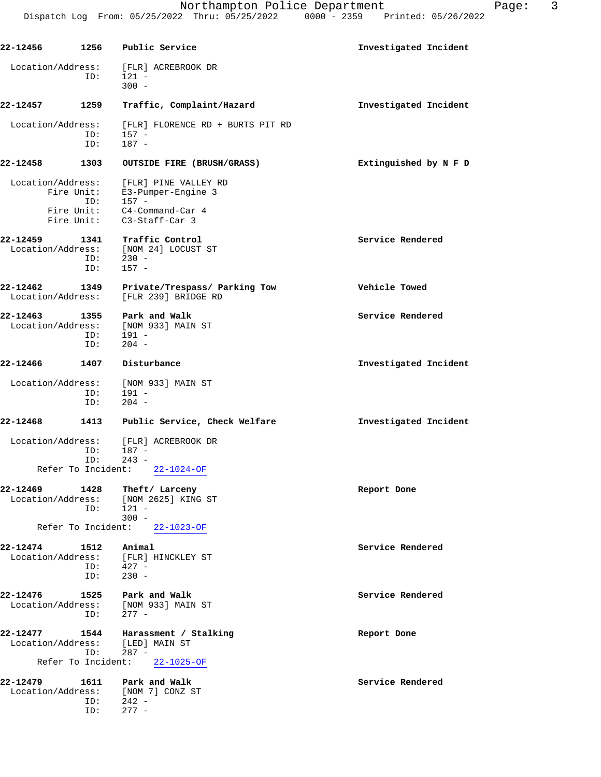| 22-12456                      | 1256               | Public Service                                          | Investigated Incident |  |
|-------------------------------|--------------------|---------------------------------------------------------|-----------------------|--|
| Location/Address:             |                    | [FLR] ACREBROOK DR                                      |                       |  |
|                               | ID:                | $121 -$<br>$300 -$                                      |                       |  |
| 22-12457                      | 1259               | Traffic, Complaint/Hazard                               | Investigated Incident |  |
| Location/Address:             | ID:                | [FLR] FLORENCE RD + BURTS PIT RD<br>$157 -$             |                       |  |
|                               | ID:                | $187 -$                                                 |                       |  |
| 22-12458                      | 1303               | OUTSIDE FIRE (BRUSH/GRASS)                              | Extinguished by N F D |  |
| Location/Address:             | Fire Unit:         | [FLR] PINE VALLEY RD<br>E3-Pumper-Engine 3              |                       |  |
|                               | ID:                | $157 -$                                                 |                       |  |
|                               |                    | Fire Unit: C4-Command-Car 4                             |                       |  |
|                               |                    | Fire Unit: C3-Staff-Car 3                               |                       |  |
| 22-12459                      | 1341               | Traffic Control<br>Location/Address: [NOM 24] LOCUST ST | Service Rendered      |  |
|                               | ID:                | $230 -$                                                 |                       |  |
|                               | ID:                | $157 -$                                                 |                       |  |
| 22-12462<br>Location/Address: | 1349               | Private/Trespass/ Parking Tow<br>[FLR 239] BRIDGE RD    | Vehicle Towed         |  |
| 22-12463                      | 1355               | Park and Walk                                           | Service Rendered      |  |
|                               | ID:                | Location/Address: [NOM 933] MAIN ST<br>$191 -$          |                       |  |
|                               | ID:                | $204 -$                                                 |                       |  |
| 22-12466                      | 1407               | Disturbance                                             | Investigated Incident |  |
| Location/Address:             |                    | [NOM 933] MAIN ST                                       |                       |  |
|                               | ID:<br>ID:         | $191 -$<br>$204 -$                                      |                       |  |
| 22-12468                      | 1413               | Public Service, Check Welfare                           | Investigated Incident |  |
| Location/Address:             | ID:                | [FLR] ACREBROOK DR<br>$187 -$                           |                       |  |
|                               | ID:                | $243 -$                                                 |                       |  |
|                               | Refer To Incident: | $22 - 1024 - OF$                                        |                       |  |
| 22-12469                      | 1428               | Theft/ Larceny                                          | Report Done           |  |
| Location/Address:             | ID:                | [NOM 2625] KING ST<br>$121 -$                           |                       |  |
|                               | Refer To Incident: | $300 -$<br>$22 - 1023 - OF$                             |                       |  |
| 22-12474                      | 1512               | Animal                                                  | Service Rendered      |  |
| Location/Address:             |                    | [FLR] HINCKLEY ST                                       |                       |  |
|                               | ID:<br>ID:         | $427 -$<br>$230 -$                                      |                       |  |
| 22-12476                      | 1525               | Park and Walk                                           | Service Rendered      |  |
| Location/Address:             |                    | [NOM 933] MAIN ST                                       |                       |  |
|                               | ID:                | $277 -$                                                 |                       |  |
| 22-12477<br>Location/Address: | 1544               | Harassment / Stalking<br>[LED] MAIN ST                  | Report Done           |  |
|                               | ID:                | $287 -$                                                 |                       |  |
|                               | Refer To Incident: | $22 - 1025 - OF$                                        |                       |  |
| 22-12479                      | 1611               | Park and Walk                                           | Service Rendered      |  |
| Location/Address:             | ID:                | [NOM 7] CONZ ST<br>$242 -$                              |                       |  |
|                               | ID:                | $277 -$                                                 |                       |  |
|                               |                    |                                                         |                       |  |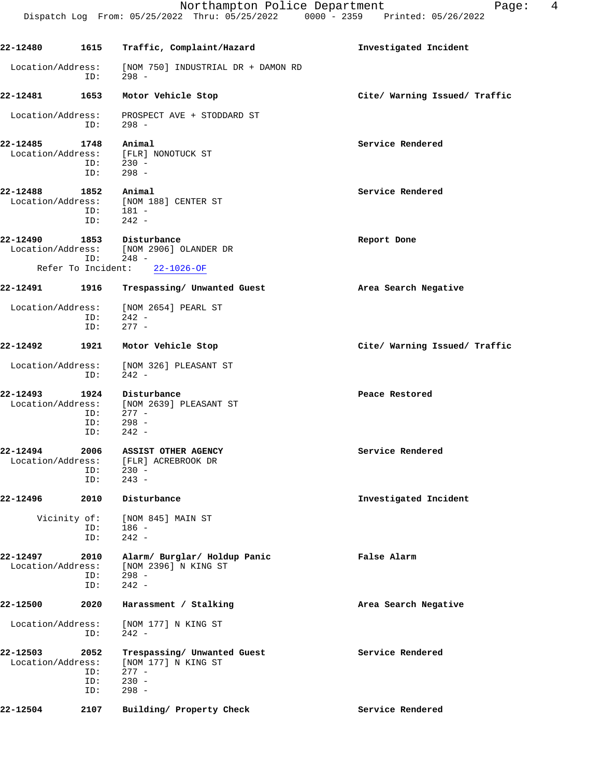| 22-12480                      | 1615                       | Traffic, Complaint/Hazard                                                           | Investigated Incident         |
|-------------------------------|----------------------------|-------------------------------------------------------------------------------------|-------------------------------|
| Location/Address:             | ID:                        | [NOM 750] INDUSTRIAL DR + DAMON RD<br>$298 -$                                       |                               |
| 22-12481                      | 1653                       | Motor Vehicle Stop                                                                  | Cite/ Warning Issued/ Traffic |
| Location/Address:             | ID:                        | PROSPECT AVE + STODDARD ST<br>$298 -$                                               |                               |
| 22-12485<br>Location/Address: | 1748<br>ID:                | Animal<br>[FLR] NONOTUCK ST<br>$ID: 230 -$<br>$298 -$                               | Service Rendered              |
| 22-12488<br>Location/Address: | 1852<br>ID:<br>ID:         | Animal<br>[NOM 188] CENTER ST<br>- 181 -<br>$242 -$                                 | Service Rendered              |
| 22-12490                      | ID:                        | 1853 Disturbance<br>Location/Address: [NOM 2906] OLANDER DR<br>248 -                | Report Done                   |
|                               |                            | Refer To Incident: 22-1026-OF                                                       |                               |
| 22-12491                      | 1916                       | Trespassing/ Unwanted Guest                                                         | Area Search Negative          |
| Location/Address:             | ID:<br>ID:                 | [NOM 2654] PEARL ST<br>242 -<br>$277 -$                                             |                               |
| 22-12492                      | 1921                       | Motor Vehicle Stop                                                                  | Cite/ Warning Issued/ Traffic |
| Location/Address:             | ID:                        | [NOM 326] PLEASANT ST<br>$242 -$                                                    |                               |
| 22-12493<br>Location/Address: | 1924<br>ID:<br>ID:<br>ID:  | Disturbance<br>[NOM 2639] PLEASANT ST<br>$277 -$<br>$298 -$<br>242 -                | Peace Restored                |
| 22-12494<br>Location/Address: | 2006<br>ID:<br>ID:         | <b>ASSIST OTHER AGENCY</b><br>[FLR] ACREBROOK DR<br>$230 -$<br>$243 -$              | Service Rendered              |
| 22-12496                      | 2010                       | Disturbance                                                                         | Investigated Incident         |
|                               | Vicinity of:<br>ID:<br>ID: | [NOM 845] MAIN ST<br>186 -<br>$242 -$                                               |                               |
| 22-12497<br>Location/Address: | 2010<br>ID:<br>ID:         | Alarm/ Burglar/ Holdup Panic<br>[NOM 2396] N KING ST<br>$298 -$<br>$242 -$          | False Alarm                   |
| 22-12500                      | 2020                       | Harassment / Stalking                                                               | Area Search Negative          |
| Location/Address:             | ID:                        | [NOM 177] N KING ST<br>$242 -$                                                      |                               |
| 22-12503<br>Location/Address: | 2052<br>ID:<br>ID:<br>ID:  | Trespassing/ Unwanted Guest<br>[NOM 177] N KING ST<br>$277 -$<br>$230 -$<br>$298 -$ | Service Rendered              |

Northampton Police Department The Page: 4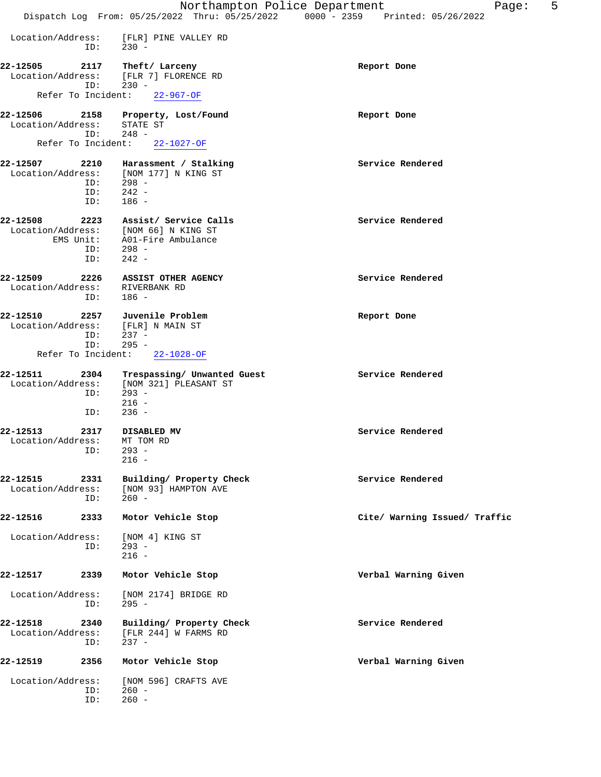|                               |             |                                                             | 5<br>Northampton Police Department<br>Page:                                    |
|-------------------------------|-------------|-------------------------------------------------------------|--------------------------------------------------------------------------------|
|                               |             |                                                             | Dispatch Log From: 05/25/2022 Thru: 05/25/2022 0000 - 2359 Printed: 05/26/2022 |
| Location/Address:             | ID:         | [FLR] PINE VALLEY RD<br>$230 -$                             |                                                                                |
| 22-12505                      | 2117        | Theft/ Larceny                                              | Report Done                                                                    |
| Location/Address:             | ID:         | [FLR 7] FLORENCE RD<br>$230 -$                              |                                                                                |
| Refer To Incident:            |             | $22 - 967 - OF$                                             |                                                                                |
| 22-12506                      | 2158        | Property, Lost/Found                                        | Report Done                                                                    |
| Location/Address:             | ID:         | STATE ST<br>$248 -$                                         |                                                                                |
| Refer To Incident:            |             | 22-1027-OF                                                  |                                                                                |
| 22-12507                      | 2210        | Harassment / Stalking                                       | Service Rendered                                                               |
| Location/Address:             |             | [NOM 177] N KING ST                                         |                                                                                |
|                               | ID:         | $298 -$                                                     |                                                                                |
|                               | ID:         | $242 -$                                                     |                                                                                |
|                               | ID:         | $186 -$                                                     |                                                                                |
| 22-12508                      | 2223        | Assist/ Service Calls                                       | Service Rendered                                                               |
| Location/Address:             |             | [NOM 66] N KING ST                                          |                                                                                |
|                               |             | EMS Unit: A01-Fire Ambulance                                |                                                                                |
|                               | ID:<br>ID:  | $298 -$<br>$242 -$                                          |                                                                                |
|                               |             |                                                             |                                                                                |
| 22-12509                      | 2226        | ASSIST OTHER AGENCY                                         | Service Rendered                                                               |
| Location/Address:             | ID:         | RIVERBANK RD<br>$186 -$                                     |                                                                                |
| 22-12510                      | 2257        | Juvenile Problem                                            | Report Done                                                                    |
| Location/Address:             |             | [FLR] N MAIN ST                                             |                                                                                |
|                               | ID:         | $237 -$                                                     |                                                                                |
|                               | ID:         | $295 -$                                                     |                                                                                |
| Refer To Incident:            |             | $22 - 1028 - OF$                                            |                                                                                |
| 22-12511                      | 2304        | Trespassing/ Unwanted Guest                                 | Service Rendered                                                               |
| Location/Address:             | ID:         | [NOM 321] PLEASANT ST<br>$293 -$                            |                                                                                |
|                               | ID:         | $216 -$<br>$236 -$                                          |                                                                                |
|                               |             |                                                             |                                                                                |
| 22-12513                      | 2317        | DISABLED MV                                                 | Service Rendered                                                               |
| Location/Address: MT TOM RD   | ID:         | $293 -$                                                     |                                                                                |
|                               |             | $216 -$                                                     |                                                                                |
| 22-12515                      | 2331        | Building/ Property Check                                    | Service Rendered                                                               |
| Location/Address:             |             | [NOM 93] HAMPTON AVE                                        |                                                                                |
|                               | ID:         | $260 -$                                                     |                                                                                |
| 22-12516                      | 2333        | Motor Vehicle Stop                                          | Cite/ Warning Issued/ Traffic                                                  |
| Location/Address:             |             | [NOM 4] KING ST                                             |                                                                                |
|                               | ID:         | $293 -$                                                     |                                                                                |
|                               |             | $216 -$                                                     |                                                                                |
| 22-12517                      | 2339        | Motor Vehicle Stop                                          | Verbal Warning Given                                                           |
| Location/Address:             | ID:         | [NOM 2174] BRIDGE RD<br>$295 -$                             |                                                                                |
|                               |             |                                                             |                                                                                |
| 22-12518<br>Location/Address: | 2340<br>ID: | Building/ Property Check<br>[FLR 244] W FARMS RD<br>$237 -$ | Service Rendered                                                               |
| 22-12519                      | 2356        | Motor Vehicle Stop                                          | Verbal Warning Given                                                           |
|                               |             |                                                             |                                                                                |
| Location/Address:             | ID:<br>ID:  | [NOM 596] CRAFTS AVE<br>$260 -$<br>$260 -$                  |                                                                                |
|                               |             |                                                             |                                                                                |